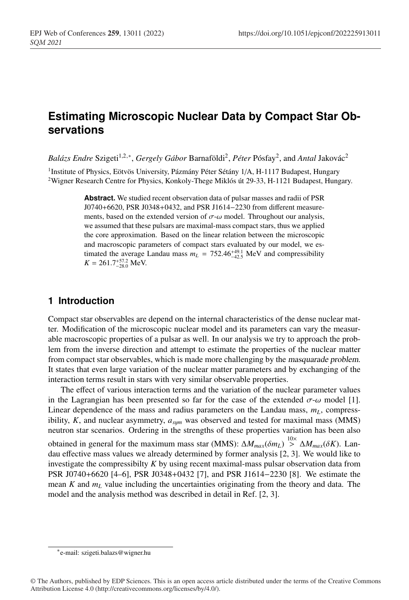# **Estimating Microscopic Nuclear Data by Compact Star Observations**

*Balázs Endre* Szigeti<sup>1,2,∗</sup>, *Gergely Gábor* Barnaföldi<sup>2</sup>, *Péter* Pósfay<sup>2</sup>, and *Antal* Jakovác<sup>2</sup>

<sup>1</sup>Institute of Physics, Eötvös University, Pázmány Péter Sétány 1/A, H-1117 Budapest, Hungary 2Wigner Research Centre for Physics, Konkoly-Thege Miklós út 29-33, H-1121 Budapest, Hungary.

> **Abstract.** We studied recent observation data of pulsar masses and radii of PSR J0740+6620, PSR J0348+0432, and PSR J1614−2230 from different measurements, based on the extended version of  $\sigma$ - $\omega$  model. Throughout our analysis, we assumed that these pulsars are maximal-mass compact stars, thus we applied the core approximation. Based on the linear relation between the microscopic and macroscopic parameters of compact stars evaluated by our model, we estimated the average Landau mass  $m_L = 752.46^{+49.1}_{-42.5}$  MeV and compressibility  $K = 261.7^{+57.2}_{-28.0}$  MeV.

## **1 Introduction**

Compact star observables are depend on the internal characteristics of the dense nuclear matter. Modification of the microscopic nuclear model and its parameters can vary the measurable macroscopic properties of a pulsar as well. In our analysis we try to approach the problem from the inverse direction and attempt to estimate the properties of the nuclear matter from compact star observables, which is made more challenging by the *masquarade problem*. It states that even large variation of the nuclear matter parameters and by exchanging of the interaction terms result in stars with very similar observable properties.

The effect of various interaction terms and the variation of the nuclear parameter values in the Lagrangian has been presented so far for the case of the extended  $\sigma$ - $\omega$  model [1]. Linear dependence of the mass and radius parameters on the Landau mass,  $m<sub>L</sub>$ , compressibility,  $K$ , and nuclear asymmetry,  $a_{sum}$  was observed and tested for maximal mass (MMS) neutron star scenarios. Ordering in the strengths of these properties variation has been also obtained in general for the maximum mass star (MMS):  $\Delta M_{max}(\delta m_L) \stackrel{10\times}{>} \Delta M_{max}(\delta K)$ . Landau effective mass values we already determined by former analysis [2, 3]. We would like to investigate the compressibilty *K* by using recent maximal-mass pulsar observation data from PSR J0740+6620 [4–6], PSR J0348+0432 [7], and PSR J1614−2230 [8]. We estimate the mean *K* and *mL* value including the uncertainties originating from the theory and data. The model and the analysis method was described in detail in Ref. [2, 3].

<sup>∗</sup>e-mail: szigeti.balazs@wigner.hu

<sup>©</sup> The Authors, published by EDP Sciences. This is an open access article distributed under the terms of the Creative Commons Attribution License 4.0 (http://creativecommons.org/licenses/by/4.0/).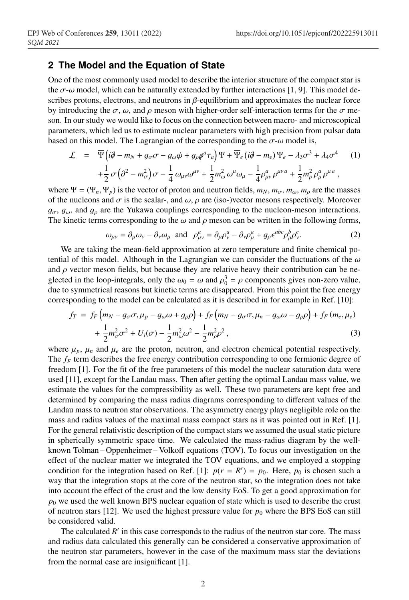#### **2 The Model and the Equation of State**

One of the most commonly used model to describe the interior structure of the compact star is the  $\sigma$ - $\omega$  model, which can be naturally extended by further interactions [1, 9]. This model describes protons, electrons, and neutrons in  $\beta$ -equilibrium and approximates the nuclear force by introducing the  $\sigma$ ,  $\omega$ , and  $\rho$  meson with higher-order self-interaction terms for the  $\sigma$  meson. In our study we would like to focus on the connection between macro- and microscopical parameters, which led us to estimate nuclear parameters with high precision from pulsar data based on this model. The Lagrangian of the corresponding to the  $\sigma$ - $\omega$  model is,

$$
\mathcal{L} = \overline{\Psi} \Big( i\partial - m_N + g_{\sigma}\sigma - g_{\omega}\phi + g_{\rho}\rho^a \tau_a \Big) \Psi + \overline{\Psi}_e \left( i\partial - m_e \right) \Psi_e - \lambda_3 \sigma^3 + \lambda_4 \sigma^4 \qquad (1)
$$
  
+  $\frac{1}{2} \sigma \Big( \partial^2 - m_{\sigma}^2 \Big) \sigma - \frac{1}{4} \omega_{\mu\nu} \omega^{\mu\nu} + \frac{1}{2} m_{\omega}^2 \omega^{\mu} \omega_{\mu} - \frac{1}{4} \rho_{\mu\nu}^a \rho^{\mu\nu} \sigma + \frac{1}{2} m_{\rho}^2 \rho_{\mu}^a \rho^{\mu a} \,,$ 

where  $\Psi = (\Psi_n, \Psi_p)$  is the vector of proton and neutron fields,  $m_N$ ,  $m_{\sigma}$ ,  $m_{\omega}$ ,  $m_{\rho}$  are the masses of the nucleons and  $\sigma$  is the scalar-, and  $\omega$ ,  $\rho$  are (iso-)vector mesons respectively. Moreover  $g_{\sigma}$ ,  $g_{\omega}$ , and  $g_{\rho}$  are the Yukawa couplings corresponding to the nucleon-meson interactions. The kinetic terms corresponding to the  $\omega$  and  $\rho$  meson can be written in the following forms,

$$
\omega_{\mu\nu} = \partial_{\mu}\omega_{\nu} - \partial_{\nu}\omega_{\mu} \text{ and } \rho_{\mu\nu}^{a} = \partial_{\mu}\rho_{\nu}^{a} - \partial_{\nu}\rho_{\mu}^{a} + g_{\rho}\epsilon^{abc}\rho_{\mu}^{b}\rho_{\nu}^{c}.
$$
 (2)

We are taking the mean-field approximation at zero temperature and finite chemical potential of this model. Although in the Lagrangian we can consider the fluctuations of the  $\omega$ and  $\rho$  vector meson fields, but because they are relative heavy their contribution can be neglected in the loop-integrals, only the  $\omega_0 = \omega$  and  $\rho_0^3 = \rho$  components gives non-zero value, due to symmetrical reasons but kinetic terms are disappeared. From this point the free energy corresponding to the model can be calculated as it is described in for example in Ref. [10]:

$$
f_T = f_F \left( m_N - g_{\sigma} \sigma, \mu_p - g_{\omega} \omega + g_{\rho} \rho \right) + f_F \left( m_N - g_{\sigma} \sigma, \mu_n - g_{\omega} \omega - g_{\rho} \rho \right) + f_F \left( m_e, \mu_e \right)
$$
  
+ 
$$
\frac{1}{2} m_{\sigma}^2 \sigma^2 + U_i(\sigma) - \frac{1}{2} m_{\omega}^2 \omega^2 - \frac{1}{2} m_{\rho}^2 \rho^2,
$$
 (3)

where  $\mu_p$ ,  $\mu_n$  and  $\mu_e$  are the proton, neutron, and electron chemical potential respectively. The *f<sub>F</sub>* term describes the free energy contribution corresponding to one fermionic degree of freedom [1]. For the fit of the free parameters of this model the nuclear saturation data were used [11], except for the Landau mass. Then after getting the optimal Landau mass value, we estimate the values for the compressibility as well. These two parameters are kept free and determined by comparing the mass radius diagrams corresponding to different values of the Landau mass to neutron star observations. The asymmetry energy plays negligible role on the mass and radius values of the maximal mass compact stars as it was pointed out in Ref. [1]. For the general relativistic description of the compact stars we assumed the usual static picture in spherically symmetric space time. We calculated the mass-radius diagram by the wellknown Tolman – Oppenheimer – Volkoff equations (TOV). To focus our investigation on the effect of the nuclear matter we integrated the TOV equations, and we employed a stopping condition for the integration based on Ref. [1]:  $p(r = R') = p_0$ . Here,  $p_0$  is chosen such a way that the integration stops at the core of the neutron star, so the integration does not take into account the effect of the crust and the low density EoS. To get a good approximation for  $p_0$  we used the well known BPS nuclear equation of state which is used to describe the crust of neutron stars [12]. We used the highest pressure value for  $p_0$  where the BPS EoS can still be considered valid.

The calculated *R'* in this case corresponds to the radius of the neutron star core. The mass and radius data calculated this generally can be considered a conservative approximation of the neutron star parameters, however in the case of the maximum mass star the deviations from the normal case are insignificant [1].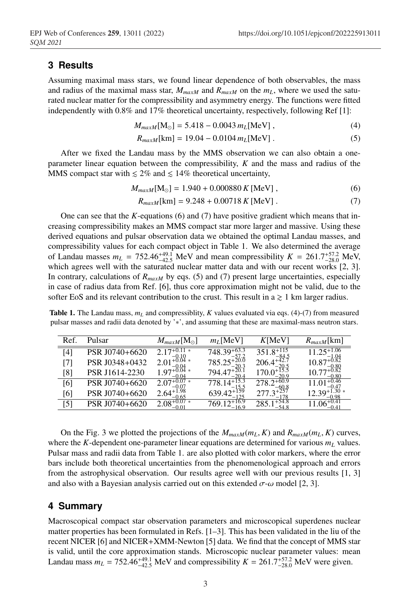### **3 Results**

Assuming maximal mass stars, we found linear dependence of both observables, the mass and radius of the maximal mass star,  $M_{maxM}$  and  $R_{maxM}$  on the  $m<sub>L</sub>$ , where we used the saturated nuclear matter for the compressibility and asymmetry energy. The functions were fitted independently with 0.8% and 17% theoretical uncertainty, respectively, following Ref [1]:

$$
M_{maxM}[\text{M}_{\odot}] = 5.418 - 0.0043 m_L[\text{MeV}], \qquad (4)
$$

$$
R_{maxM}[\text{km}] = 19.04 - 0.0104 \, m_L[\text{MeV}] \,. \tag{5}
$$

After we fixed the Landau mass by the MMS observation we can also obtain a oneparameter linear equation between the compressibility, *K* and the mass and radius of the MMS compact star with  $\leq 2\%$  and  $\leq 14\%$  theoretical uncertainty,

$$
M_{maxM}[M_{\odot}] = 1.940 + 0.000880 K [MeV], \qquad (6)
$$

$$
R_{maxM}[\text{km}] = 9.248 + 0.00718 \, K \, [\text{MeV}] \,. \tag{7}
$$

One can see that the *K*-equations (6) and (7) have positive gradient which means that increasing compressibility makes an MMS compact star more larger and massive. Using these derived equations and pulsar observation data we obtained the optimal Landau masses, and compressibility values for each compact object in Table 1. We also determined the average of Landau masses  $m_L$  = 752.46<sup>+49.1</sup> MeV and mean compressibility  $K = 261.7^{+57.2}_{-28.0}$  MeV, which agrees well with the saturated nuclear matter data and with our recent works [2, 3]. In contrary, calculations of *R<sub>maxM</sub>* by eqs. (5) and (7) present large uncertainties, especially in case of radius data from Ref. [6], thus core approximation might not be valid, due to the softer EoS and its relevant contribution to the crust. This result in  $a \ge 1$  km larger radius.

**Table 1.** The Landau mass,  $m<sub>L</sub>$  and compressibility, *K* values evaluated via eqs. (4)-(7) from measured pulsar masses and radii data denoted by '∗', and assuming that these are maximal-mass neutron stars.

| Ref. | Pulsar         | $M_{maxM}$ [M <sub>o</sub> ] | $m_l$ [MeV]                  | K[MeV]         | $R_{maxM}$ [km] |
|------|----------------|------------------------------|------------------------------|----------------|-----------------|
| [4]  | PSR J0740+6620 | $\approx$                    | 748.39                       | 351            | $+1.06$         |
| [7]  | PSR J0348+0432 | 2.01                         | 785.25                       |                |                 |
| [8]  | PSR J1614-2230 | - 97<br>-0.04                | 20.4                         |                | –0.80           |
| [6]  | PSR J0740+6620 | 2.07                         | 15.5                         |                |                 |
| [6]  | PSR J0740+6620 | $2.64^{+}$<br>-0.65          | 125                          | 178            | 0.98            |
| [5]  | PSR J0740+6620 | $2.08^{+0}$                  | $12+16.9$<br>'69.<br>$-16.9$ | +54.8<br>-54.8 | $-0.41$         |
|      |                |                              |                              |                |                 |

On the Fig. 3 we plotted the projections of the  $M_{maxM}(m_L, K)$  and  $R_{maxM}(m_L, K)$  curves, where the *K*-dependent one-parameter linear equations are determined for various  $m<sub>L</sub>$  values. Pulsar mass and radii data from Table 1. are also plotted with color markers, where the error bars include both theoretical uncertainties from the phenomenological approach and errors from the astrophysical observation. Our results agree well with our previous results [1, 3] and also with a Bayesian analysis carried out on this extended  $\sigma$ - $\omega$  model [2, 3].

### **4 Summary**

Macroscopical compact star observation parameters and microscopical superdenes nuclear matter properties has been formulated in Refs. [1–3]. This has been validated in the liu of the recent NICER [6] and NICER+XMM-Newton [5] data. We find that the concept of MMS star is valid, until the core approximation stands. Microscopic nuclear parameter values: mean Landau mass  $m_L = 752.46^{+49.1}_{-42.5}$  MeV and compressibility  $K = 261.7^{+57.2}_{-28.0}$  MeV were given.